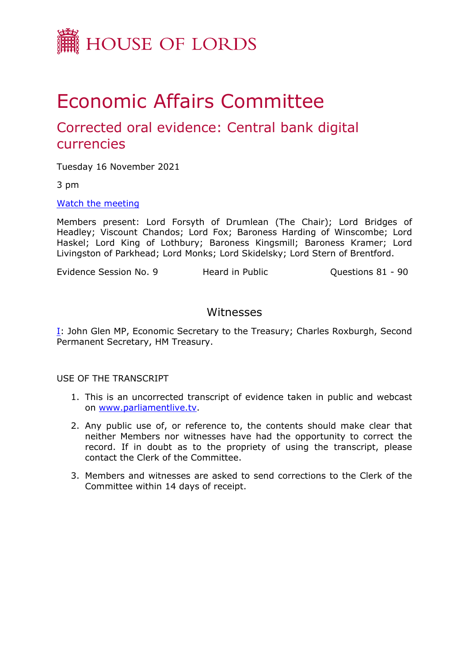

# Economic Affairs Committee

## Corrected oral evidence: Central bank digital currencies

Tuesday 16 November 2021

3 pm

[Watch](https://www.parliamentlive.tv/Event/Index/304ab8cd-0d25-4bd3-84e0-0eee299f9676) [the](https://www.parliamentlive.tv/Event/Index/304ab8cd-0d25-4bd3-84e0-0eee299f9676) [meeting](https://www.parliamentlive.tv/Event/Index/304ab8cd-0d25-4bd3-84e0-0eee299f9676)

Members present: Lord Forsyth of Drumlean (The Chair); Lord Bridges of Headley; Viscount Chandos; Lord Fox; Baroness Harding of Winscombe; Lord Haskel; Lord King of Lothbury; Baroness Kingsmill; Baroness Kramer; Lord Livingston of Parkhead; Lord Monks; Lord Skidelsky; Lord Stern of Brentford.

Evidence Session No. 9 **Heard in Public** Cuestions 81 - 90

#### Witnesses

[I:](#page-1-0) John Glen MP, Economic Secretary to the Treasury; Charles Roxburgh, Second Permanent Secretary, HM Treasury.

USE OF THE TRANSCRIPT

- 1. This is an uncorrected transcript of evidence taken in public and webcast on [www.parliamentlive.tv.](http://www.parliamentlive.tv/)
- 2. Any public use of, or reference to, the contents should make clear that neither Members nor witnesses have had the opportunity to correct the record. If in doubt as to the propriety of using the transcript, please contact the Clerk of the Committee.
- 3. Members and witnesses are asked to send corrections to the Clerk of the Committee within 14 days of receipt.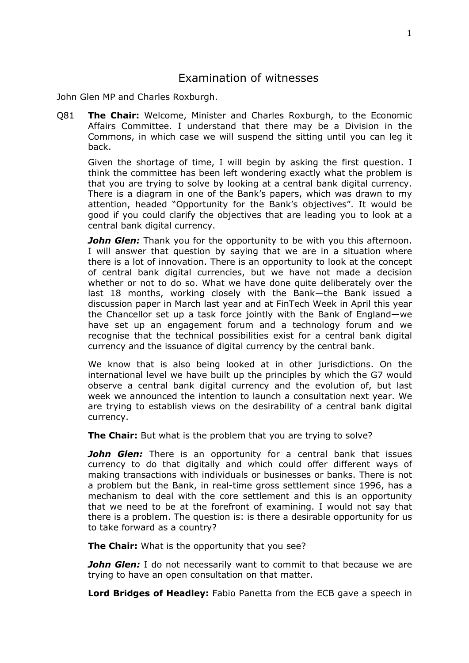### <span id="page-1-0"></span>Examination of witnesses

John Glen MP and Charles Roxburgh.

Q81 **The Chair:** Welcome, Minister and Charles Roxburgh, to the Economic Affairs Committee. I understand that there may be a Division in the Commons, in which case we will suspend the sitting until you can leg it back.

Given the shortage of time, I will begin by asking the first question. I think the committee has been left wondering exactly what the problem is that you are trying to solve by looking at a central bank digital currency. There is a diagram in one of the Bank's papers, which was drawn to my attention, headed "Opportunity for the Bank's objectives". It would be good if you could clarify the objectives that are leading you to look at a central bank digital currency.

*John Glen:* Thank you for the opportunity to be with you this afternoon. I will answer that question by saying that we are in a situation where there is a lot of innovation. There is an opportunity to look at the concept of central bank digital currencies, but we have not made a decision whether or not to do so. What we have done quite deliberately over the last 18 months, working closely with the Bank—the Bank issued a discussion paper in March last year and at FinTech Week in April this year the Chancellor set up a task force jointly with the Bank of England—we have set up an engagement forum and a technology forum and we recognise that the technical possibilities exist for a central bank digital currency and the issuance of digital currency by the central bank.

We know that is also being looked at in other jurisdictions. On the international level we have built up the principles by which the G7 would observe a central bank digital currency and the evolution of, but last week we announced the intention to launch a consultation next year. We are trying to establish views on the desirability of a central bank digital currency.

**The Chair:** But what is the problem that you are trying to solve?

*John Glen:* There is an opportunity for a central bank that issues currency to do that digitally and which could offer different ways of making transactions with individuals or businesses or banks. There is not a problem but the Bank, in real-time gross settlement since 1996, has a mechanism to deal with the core settlement and this is an opportunity that we need to be at the forefront of examining. I would not say that there is a problem. The question is: is there a desirable opportunity for us to take forward as a country?

**The Chair:** What is the opportunity that you see?

*John Glen:* I do not necessarily want to commit to that because we are trying to have an open consultation on that matter.

**Lord Bridges of Headley:** Fabio Panetta from the ECB gave a speech in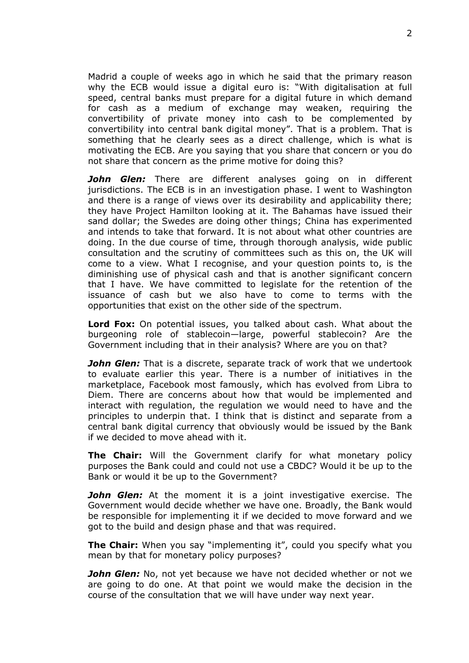Madrid a couple of weeks ago in which he said that the primary reason why the ECB would issue a digital euro is: "With digitalisation at full speed, central banks must prepare for a digital future in which demand for cash as a medium of exchange may weaken, requiring the convertibility of private money into cash to be complemented by convertibility into central bank digital money". That is a problem. That is something that he clearly sees as a direct challenge, which is what is motivating the ECB. Are you saying that you share that concern or you do not share that concern as the prime motive for doing this?

*John Glen:* There are different analyses going on in different jurisdictions. The ECB is in an investigation phase. I went to Washington and there is a range of views over its desirability and applicability there; they have Project Hamilton looking at it. The Bahamas have issued their sand dollar; the Swedes are doing other things; China has experimented and intends to take that forward. It is not about what other countries are doing. In the due course of time, through thorough analysis, wide public consultation and the scrutiny of committees such as this on, the UK will come to a view. What I recognise, and your question points to, is the diminishing use of physical cash and that is another significant concern that I have. We have committed to legislate for the retention of the issuance of cash but we also have to come to terms with the opportunities that exist on the other side of the spectrum.

**Lord Fox:** On potential issues, you talked about cash. What about the burgeoning role of stablecoin—large, powerful stablecoin? Are the Government including that in their analysis? Where are you on that?

**John Glen:** That is a discrete, separate track of work that we undertook to evaluate earlier this year. There is a number of initiatives in the marketplace, Facebook most famously, which has evolved from Libra to Diem. There are concerns about how that would be implemented and interact with regulation, the regulation we would need to have and the principles to underpin that. I think that is distinct and separate from a central bank digital currency that obviously would be issued by the Bank if we decided to move ahead with it.

**The Chair:** Will the Government clarify for what monetary policy purposes the Bank could and could not use a CBDC? Would it be up to the Bank or would it be up to the Government?

*John Glen:* At the moment it is a joint investigative exercise. The Government would decide whether we have one. Broadly, the Bank would be responsible for implementing it if we decided to move forward and we got to the build and design phase and that was required.

**The Chair:** When you say "implementing it", could you specify what you mean by that for monetary policy purposes?

*John Glen:* No, not yet because we have not decided whether or not we are going to do one. At that point we would make the decision in the course of the consultation that we will have under way next year.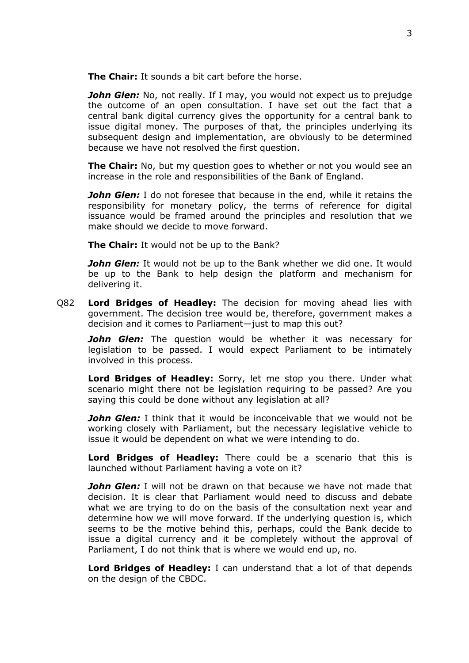**The Chair:** It sounds a bit cart before the horse.

**John Glen:** No, not really. If I may, you would not expect us to prejudge the outcome of an open consultation. I have set out the fact that a central bank digital currency gives the opportunity for a central bank to issue digital money. The purposes of that, the principles underlying its subsequent design and implementation, are obviously to be determined because we have not resolved the first question.

**The Chair:** No, but my question goes to whether or not you would see an increase in the role and responsibilities of the Bank of England.

*John Glen:* I do not foresee that because in the end, while it retains the responsibility for monetary policy, the terms of reference for digital issuance would be framed around the principles and resolution that we make should we decide to move forward.

**The Chair:** It would not be up to the Bank?

*John Glen:* It would not be up to the Bank whether we did one. It would be up to the Bank to help design the platform and mechanism for delivering it.

Q82 **Lord Bridges of Headley:** The decision for moving ahead lies with government. The decision tree would be, therefore, government makes a decision and it comes to Parliament—just to map this out?

*John Glen:* The question would be whether it was necessary for legislation to be passed. I would expect Parliament to be intimately involved in this process.

**Lord Bridges of Headley:** Sorry, let me stop you there. Under what scenario might there not be legislation requiring to be passed? Are you saying this could be done without any legislation at all?

**John Glen:** I think that it would be inconceivable that we would not be working closely with Parliament, but the necessary legislative vehicle to issue it would be dependent on what we were intending to do.

**Lord Bridges of Headley:** There could be a scenario that this is launched without Parliament having a vote on it?

**John Glen:** I will not be drawn on that because we have not made that decision. It is clear that Parliament would need to discuss and debate what we are trying to do on the basis of the consultation next year and determine how we will move forward. If the underlying question is, which seems to be the motive behind this, perhaps, could the Bank decide to issue a digital currency and it be completely without the approval of Parliament, I do not think that is where we would end up, no.

**Lord Bridges of Headley:** I can understand that a lot of that depends on the design of the CBDC.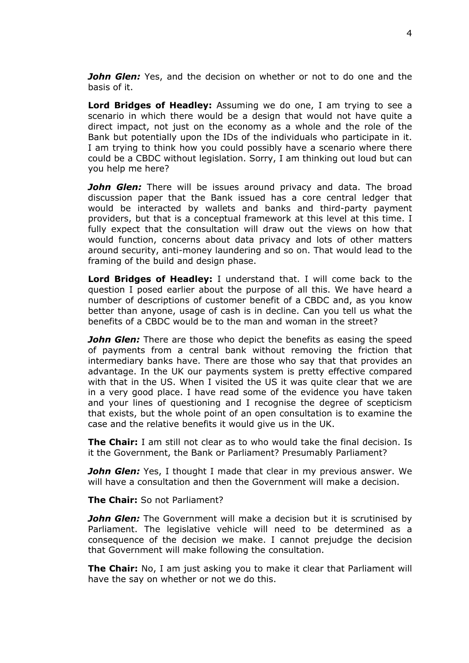*John Glen:* Yes, and the decision on whether or not to do one and the basis of it.

**Lord Bridges of Headley:** Assuming we do one, I am trying to see a scenario in which there would be a design that would not have quite a direct impact, not just on the economy as a whole and the role of the Bank but potentially upon the IDs of the individuals who participate in it. I am trying to think how you could possibly have a scenario where there could be a CBDC without legislation. Sorry, I am thinking out loud but can you help me here?

*John Glen:* There will be issues around privacy and data. The broad discussion paper that the Bank issued has a core central ledger that would be interacted by wallets and banks and third-party payment providers, but that is a conceptual framework at this level at this time. I fully expect that the consultation will draw out the views on how that would function, concerns about data privacy and lots of other matters around security, anti-money laundering and so on. That would lead to the framing of the build and design phase.

**Lord Bridges of Headley:** I understand that. I will come back to the question I posed earlier about the purpose of all this. We have heard a number of descriptions of customer benefit of a CBDC and, as you know better than anyone, usage of cash is in decline. Can you tell us what the benefits of a CBDC would be to the man and woman in the street?

*John Glen:* There are those who depict the benefits as easing the speed of payments from a central bank without removing the friction that intermediary banks have. There are those who say that that provides an advantage. In the UK our payments system is pretty effective compared with that in the US. When I visited the US it was quite clear that we are in a very good place. I have read some of the evidence you have taken and your lines of questioning and I recognise the degree of scepticism that exists, but the whole point of an open consultation is to examine the case and the relative benefits it would give us in the UK.

**The Chair:** I am still not clear as to who would take the final decision. Is it the Government, the Bank or Parliament? Presumably Parliament?

*John Glen:* Yes, I thought I made that clear in my previous answer. We will have a consultation and then the Government will make a decision.

**The Chair:** So not Parliament?

*John Glen:* The Government will make a decision but it is scrutinised by Parliament. The legislative vehicle will need to be determined as a consequence of the decision we make. I cannot prejudge the decision that Government will make following the consultation.

**The Chair:** No, I am just asking you to make it clear that Parliament will have the say on whether or not we do this.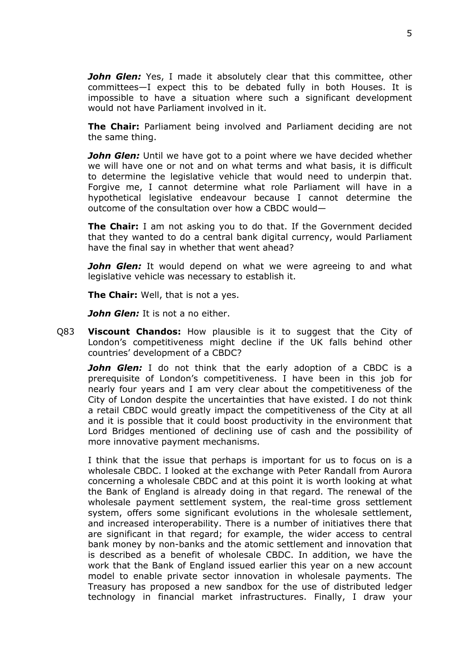*John Glen:* Yes, I made it absolutely clear that this committee, other committees—I expect this to be debated fully in both Houses. It is impossible to have a situation where such a significant development would not have Parliament involved in it.

**The Chair:** Parliament being involved and Parliament deciding are not the same thing.

*John Glen:* Until we have got to a point where we have decided whether we will have one or not and on what terms and what basis, it is difficult to determine the legislative vehicle that would need to underpin that. Forgive me, I cannot determine what role Parliament will have in a hypothetical legislative endeavour because I cannot determine the outcome of the consultation over how a CBDC would—

**The Chair:** I am not asking you to do that. If the Government decided that they wanted to do a central bank digital currency, would Parliament have the final say in whether that went ahead?

*John Glen:* It would depend on what we were agreeing to and what legislative vehicle was necessary to establish it.

**The Chair:** Well, that is not a yes.

*John Glen:* It is not a no either.

Q83 **Viscount Chandos:** How plausible is it to suggest that the City of London's competitiveness might decline if the UK falls behind other countries' development of a CBDC?

**John Glen:** I do not think that the early adoption of a CBDC is a prerequisite of London's competitiveness. I have been in this job for nearly four years and I am very clear about the competitiveness of the City of London despite the uncertainties that have existed. I do not think a retail CBDC would greatly impact the competitiveness of the City at all and it is possible that it could boost productivity in the environment that Lord Bridges mentioned of declining use of cash and the possibility of more innovative payment mechanisms.

I think that the issue that perhaps is important for us to focus on is a wholesale CBDC. I looked at the exchange with Peter Randall from Aurora concerning a wholesale CBDC and at this point it is worth looking at what the Bank of England is already doing in that regard. The renewal of the wholesale payment settlement system, the real-time gross settlement system, offers some significant evolutions in the wholesale settlement, and increased interoperability. There is a number of initiatives there that are significant in that regard; for example, the wider access to central bank money by non-banks and the atomic settlement and innovation that is described as a benefit of wholesale CBDC. In addition, we have the work that the Bank of England issued earlier this year on a new account model to enable private sector innovation in wholesale payments. The Treasury has proposed a new sandbox for the use of distributed ledger technology in financial market infrastructures. Finally, I draw your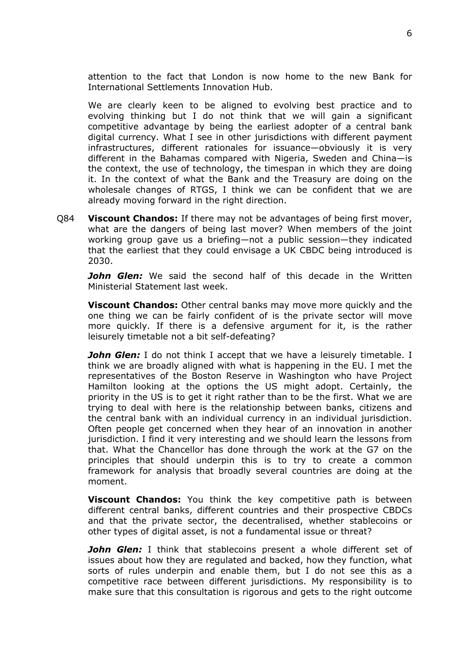attention to the fact that London is now home to the new Bank for International Settlements Innovation Hub.

We are clearly keen to be aligned to evolving best practice and to evolving thinking but I do not think that we will gain a significant competitive advantage by being the earliest adopter of a central bank digital currency. What I see in other jurisdictions with different payment infrastructures, different rationales for issuance—obviously it is very different in the Bahamas compared with Nigeria, Sweden and China—is the context, the use of technology, the timespan in which they are doing it. In the context of what the Bank and the Treasury are doing on the wholesale changes of RTGS, I think we can be confident that we are already moving forward in the right direction.

Q84 **Viscount Chandos:** If there may not be advantages of being first mover, what are the dangers of being last mover? When members of the joint working group gave us a briefing—not a public session—they indicated that the earliest that they could envisage a UK CBDC being introduced is 2030.

*John Glen:* We said the second half of this decade in the Written Ministerial Statement last week.

**Viscount Chandos:** Other central banks may move more quickly and the one thing we can be fairly confident of is the private sector will move more quickly. If there is a defensive argument for it, is the rather leisurely timetable not a bit self-defeating?

*John Glen:* I do not think I accept that we have a leisurely timetable. I think we are broadly aligned with what is happening in the EU. I met the representatives of the Boston Reserve in Washington who have Project Hamilton looking at the options the US might adopt. Certainly, the priority in the US is to get it right rather than to be the first. What we are trying to deal with here is the relationship between banks, citizens and the central bank with an individual currency in an individual jurisdiction. Often people get concerned when they hear of an innovation in another jurisdiction. I find it very interesting and we should learn the lessons from that. What the Chancellor has done through the work at the G7 on the principles that should underpin this is to try to create a common framework for analysis that broadly several countries are doing at the moment.

**Viscount Chandos:** You think the key competitive path is between different central banks, different countries and their prospective CBDCs and that the private sector, the decentralised, whether stablecoins or other types of digital asset, is not a fundamental issue or threat?

*John Glen:* I think that stablecoins present a whole different set of issues about how they are regulated and backed, how they function, what sorts of rules underpin and enable them, but I do not see this as a competitive race between different jurisdictions. My responsibility is to make sure that this consultation is rigorous and gets to the right outcome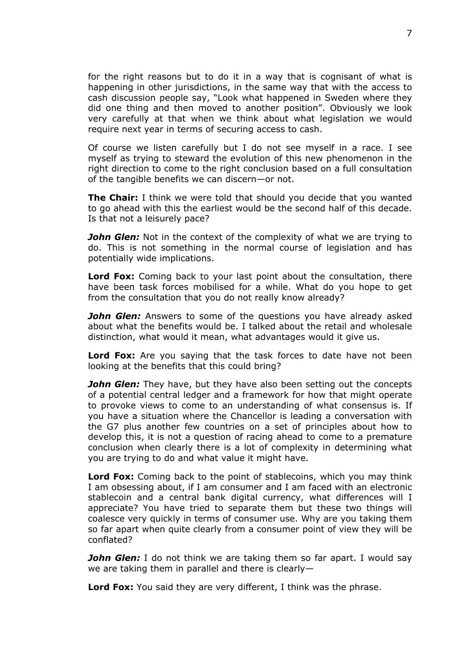for the right reasons but to do it in a way that is cognisant of what is happening in other jurisdictions, in the same way that with the access to cash discussion people say, "Look what happened in Sweden where they did one thing and then moved to another position". Obviously we look very carefully at that when we think about what legislation we would require next year in terms of securing access to cash.

Of course we listen carefully but I do not see myself in a race. I see myself as trying to steward the evolution of this new phenomenon in the right direction to come to the right conclusion based on a full consultation of the tangible benefits we can discern—or not.

**The Chair:** I think we were told that should you decide that you wanted to go ahead with this the earliest would be the second half of this decade. Is that not a leisurely pace?

*John Glen:* Not in the context of the complexity of what we are trying to do. This is not something in the normal course of legislation and has potentially wide implications.

**Lord Fox:** Coming back to your last point about the consultation, there have been task forces mobilised for a while. What do you hope to get from the consultation that you do not really know already?

*John Glen:* Answers to some of the questions you have already asked about what the benefits would be. I talked about the retail and wholesale distinction, what would it mean, what advantages would it give us.

**Lord Fox:** Are you saying that the task forces to date have not been looking at the benefits that this could bring?

*John Glen:* They have, but they have also been setting out the concepts of a potential central ledger and a framework for how that might operate to provoke views to come to an understanding of what consensus is. If you have a situation where the Chancellor is leading a conversation with the G7 plus another few countries on a set of principles about how to develop this, it is not a question of racing ahead to come to a premature conclusion when clearly there is a lot of complexity in determining what you are trying to do and what value it might have.

**Lord Fox:** Coming back to the point of stablecoins, which you may think I am obsessing about, if I am consumer and I am faced with an electronic stablecoin and a central bank digital currency, what differences will I appreciate? You have tried to separate them but these two things will coalesce very quickly in terms of consumer use. Why are you taking them so far apart when quite clearly from a consumer point of view they will be conflated?

*John Glen:* I do not think we are taking them so far apart. I would say we are taking them in parallel and there is clearly—

**Lord Fox:** You said they are very different, I think was the phrase.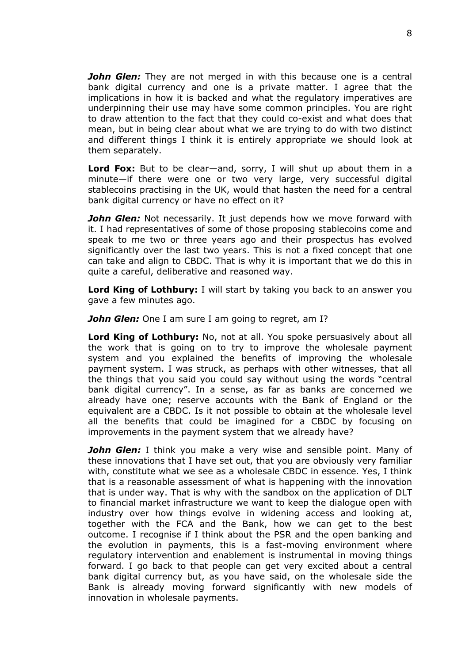*John Glen:* They are not merged in with this because one is a central bank digital currency and one is a private matter. I agree that the implications in how it is backed and what the regulatory imperatives are underpinning their use may have some common principles. You are right to draw attention to the fact that they could co-exist and what does that mean, but in being clear about what we are trying to do with two distinct and different things I think it is entirely appropriate we should look at them separately.

**Lord Fox:** But to be clear—and, sorry, I will shut up about them in a minute—if there were one or two very large, very successful digital stablecoins practising in the UK, would that hasten the need for a central bank digital currency or have no effect on it?

**John Glen:** Not necessarily. It just depends how we move forward with it. I had representatives of some of those proposing stablecoins come and speak to me two or three years ago and their prospectus has evolved significantly over the last two years. This is not a fixed concept that one can take and align to CBDC. That is why it is important that we do this in quite a careful, deliberative and reasoned way.

**Lord King of Lothbury:** I will start by taking you back to an answer you gave a few minutes ago.

*John Glen:* One I am sure I am going to regret, am I?

**Lord King of Lothbury:** No, not at all. You spoke persuasively about all the work that is going on to try to improve the wholesale payment system and you explained the benefits of improving the wholesale payment system. I was struck, as perhaps with other witnesses, that all the things that you said you could say without using the words "central bank digital currency". In a sense, as far as banks are concerned we already have one; reserve accounts with the Bank of England or the equivalent are a CBDC. Is it not possible to obtain at the wholesale level all the benefits that could be imagined for a CBDC by focusing on improvements in the payment system that we already have?

*John Glen:* I think you make a very wise and sensible point. Many of these innovations that I have set out, that you are obviously very familiar with, constitute what we see as a wholesale CBDC in essence. Yes, I think that is a reasonable assessment of what is happening with the innovation that is under way. That is why with the sandbox on the application of DLT to financial market infrastructure we want to keep the dialogue open with industry over how things evolve in widening access and looking at, together with the FCA and the Bank, how we can get to the best outcome. I recognise if I think about the PSR and the open banking and the evolution in payments, this is a fast-moving environment where regulatory intervention and enablement is instrumental in moving things forward. I go back to that people can get very excited about a central bank digital currency but, as you have said, on the wholesale side the Bank is already moving forward significantly with new models of innovation in wholesale payments.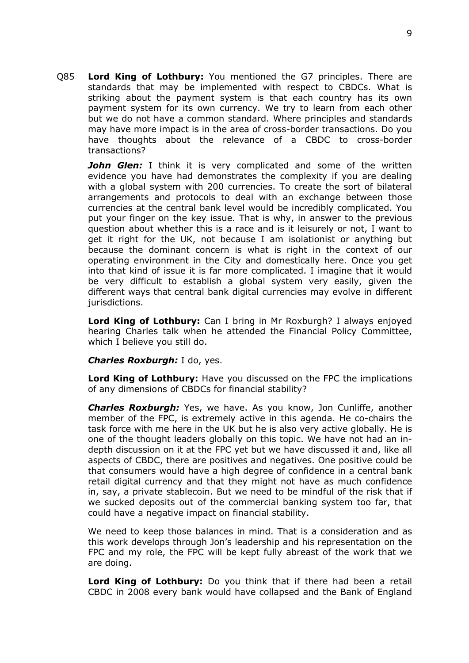Q85 **Lord King of Lothbury:** You mentioned the G7 principles. There are standards that may be implemented with respect to CBDCs. What is striking about the payment system is that each country has its own payment system for its own currency. We try to learn from each other but we do not have a common standard. Where principles and standards may have more impact is in the area of cross-border transactions. Do you have thoughts about the relevance of a CBDC to cross-border transactions?

**John Glen:** I think it is very complicated and some of the written evidence you have had demonstrates the complexity if you are dealing with a global system with 200 currencies. To create the sort of bilateral arrangements and protocols to deal with an exchange between those currencies at the central bank level would be incredibly complicated. You put your finger on the key issue. That is why, in answer to the previous question about whether this is a race and is it leisurely or not, I want to get it right for the UK, not because I am isolationist or anything but because the dominant concern is what is right in the context of our operating environment in the City and domestically here. Once you get into that kind of issue it is far more complicated. I imagine that it would be very difficult to establish a global system very easily, given the different ways that central bank digital currencies may evolve in different jurisdictions.

**Lord King of Lothbury:** Can I bring in Mr Roxburgh? I always enjoyed hearing Charles talk when he attended the Financial Policy Committee, which I believe you still do.

#### *Charles Roxburgh:* I do, yes.

**Lord King of Lothbury:** Have you discussed on the FPC the implications of any dimensions of CBDCs for financial stability?

*Charles Roxburgh:* Yes, we have. As you know, Jon Cunliffe, another member of the FPC, is extremely active in this agenda. He co-chairs the task force with me here in the UK but he is also very active globally. He is one of the thought leaders globally on this topic. We have not had an indepth discussion on it at the FPC yet but we have discussed it and, like all aspects of CBDC, there are positives and negatives. One positive could be that consumers would have a high degree of confidence in a central bank retail digital currency and that they might not have as much confidence in, say, a private stablecoin. But we need to be mindful of the risk that if we sucked deposits out of the commercial banking system too far, that could have a negative impact on financial stability.

We need to keep those balances in mind. That is a consideration and as this work develops through Jon's leadership and his representation on the FPC and my role, the FPC will be kept fully abreast of the work that we are doing.

**Lord King of Lothbury:** Do you think that if there had been a retail CBDC in 2008 every bank would have collapsed and the Bank of England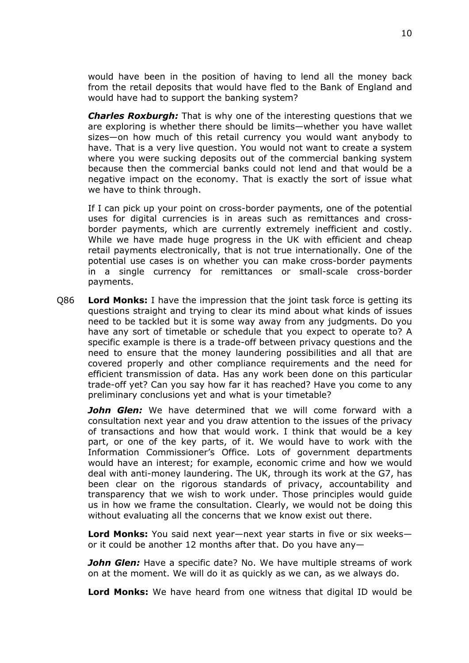would have been in the position of having to lend all the money back from the retail deposits that would have fled to the Bank of England and would have had to support the banking system?

*Charles Roxburgh:* That is why one of the interesting questions that we are exploring is whether there should be limits—whether you have wallet sizes—on how much of this retail currency you would want anybody to have. That is a very live question. You would not want to create a system where you were sucking deposits out of the commercial banking system because then the commercial banks could not lend and that would be a negative impact on the economy. That is exactly the sort of issue what we have to think through.

If I can pick up your point on cross-border payments, one of the potential uses for digital currencies is in areas such as remittances and crossborder payments, which are currently extremely inefficient and costly. While we have made huge progress in the UK with efficient and cheap retail payments electronically, that is not true internationally. One of the potential use cases is on whether you can make cross-border payments in a single currency for remittances or small-scale cross-border payments.

Q86 **Lord Monks:** I have the impression that the joint task force is getting its questions straight and trying to clear its mind about what kinds of issues need to be tackled but it is some way away from any judgments. Do you have any sort of timetable or schedule that you expect to operate to? A specific example is there is a trade-off between privacy questions and the need to ensure that the money laundering possibilities and all that are covered properly and other compliance requirements and the need for efficient transmission of data. Has any work been done on this particular trade-off yet? Can you say how far it has reached? Have you come to any preliminary conclusions yet and what is your timetable?

*John Glen:* We have determined that we will come forward with a consultation next year and you draw attention to the issues of the privacy of transactions and how that would work. I think that would be a key part, or one of the key parts, of it. We would have to work with the Information Commissioner's Office. Lots of government departments would have an interest; for example, economic crime and how we would deal with anti-money laundering. The UK, through its work at the G7, has been clear on the rigorous standards of privacy, accountability and transparency that we wish to work under. Those principles would guide us in how we frame the consultation. Clearly, we would not be doing this without evaluating all the concerns that we know exist out there.

**Lord Monks:** You said next year—next year starts in five or six weeks or it could be another 12 months after that. Do you have any—

*John Glen:* Have a specific date? No. We have multiple streams of work on at the moment. We will do it as quickly as we can, as we always do.

**Lord Monks:** We have heard from one witness that digital ID would be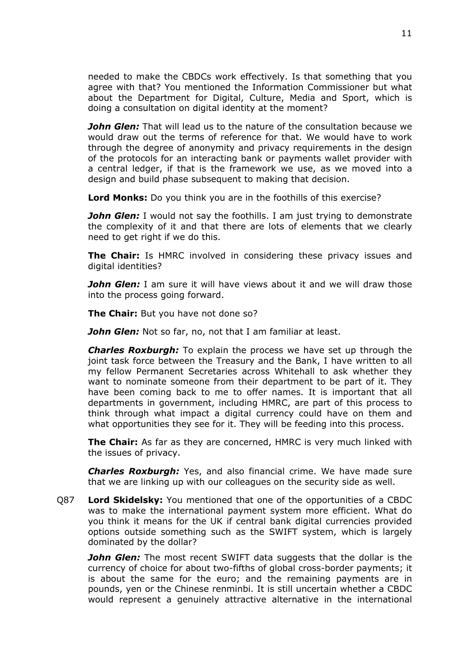needed to make the CBDCs work effectively. Is that something that you agree with that? You mentioned the Information Commissioner but what about the Department for Digital, Culture, Media and Sport, which is doing a consultation on digital identity at the moment?

*John Glen:* That will lead us to the nature of the consultation because we would draw out the terms of reference for that. We would have to work through the degree of anonymity and privacy requirements in the design of the protocols for an interacting bank or payments wallet provider with a central ledger, if that is the framework we use, as we moved into a design and build phase subsequent to making that decision.

**Lord Monks:** Do you think you are in the foothills of this exercise?

*John Glen:* I would not say the foothills. I am just trying to demonstrate the complexity of it and that there are lots of elements that we clearly need to get right if we do this.

**The Chair:** Is HMRC involved in considering these privacy issues and digital identities?

*John Glen:* I am sure it will have views about it and we will draw those into the process going forward.

**The Chair:** But you have not done so?

*John Glen:* Not so far, no, not that I am familiar at least.

*Charles Roxburgh:* To explain the process we have set up through the joint task force between the Treasury and the Bank, I have written to all my fellow Permanent Secretaries across Whitehall to ask whether they want to nominate someone from their department to be part of it. They have been coming back to me to offer names. It is important that all departments in government, including HMRC, are part of this process to think through what impact a digital currency could have on them and what opportunities they see for it. They will be feeding into this process.

**The Chair:** As far as they are concerned, HMRC is very much linked with the issues of privacy.

*Charles Roxburgh:* Yes, and also financial crime. We have made sure that we are linking up with our colleagues on the security side as well.

Q87 **Lord Skidelsky:** You mentioned that one of the opportunities of a CBDC was to make the international payment system more efficient. What do you think it means for the UK if central bank digital currencies provided options outside something such as the SWIFT system, which is largely dominated by the dollar?

*John Glen:* The most recent SWIFT data suggests that the dollar is the currency of choice for about two-fifths of global cross-border payments; it is about the same for the euro; and the remaining payments are in pounds, yen or the Chinese renminbi. It is still uncertain whether a CBDC would represent a genuinely attractive alternative in the international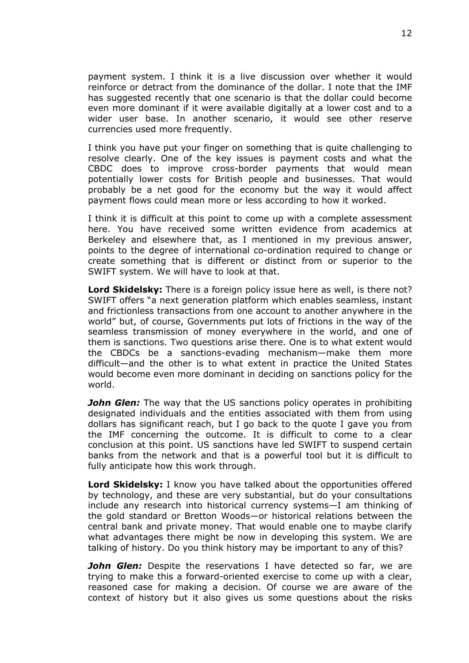payment system. I think it is a live discussion over whether it would reinforce or detract from the dominance of the dollar. I note that the IMF has suggested recently that one scenario is that the dollar could become even more dominant if it were available digitally at a lower cost and to a wider user base. In another scenario, it would see other reserve currencies used more frequently.

I think you have put your finger on something that is quite challenging to resolve clearly. One of the key issues is payment costs and what the CBDC does to improve cross-border payments that would mean potentially lower costs for British people and businesses. That would probably be a net good for the economy but the way it would affect payment flows could mean more or less according to how it worked.

I think it is difficult at this point to come up with a complete assessment here. You have received some written evidence from academics at Berkeley and elsewhere that, as I mentioned in my previous answer, points to the degree of international co-ordination required to change or create something that is different or distinct from or superior to the SWIFT system. We will have to look at that.

**Lord Skidelsky:** There is a foreign policy issue here as well, is there not? SWIFT offers "a next generation platform which enables seamless, instant and frictionless transactions from one account to another anywhere in the world" but, of course, Governments put lots of frictions in the way of the seamless transmission of money everywhere in the world, and one of them is sanctions. Two questions arise there. One is to what extent would the CBDCs be a sanctions-evading mechanism—make them more difficult—and the other is to what extent in practice the United States would become even more dominant in deciding on sanctions policy for the world.

*John Glen:* The way that the US sanctions policy operates in prohibiting designated individuals and the entities associated with them from using dollars has significant reach, but I go back to the quote I gave you from the IMF concerning the outcome. It is difficult to come to a clear conclusion at this point. US sanctions have led SWIFT to suspend certain banks from the network and that is a powerful tool but it is difficult to fully anticipate how this work through.

**Lord Skidelsky:** I know you have talked about the opportunities offered by technology, and these are very substantial, but do your consultations include any research into historical currency systems—I am thinking of the gold standard or Bretton Woods—or historical relations between the central bank and private money. That would enable one to maybe clarify what advantages there might be now in developing this system. We are talking of history. Do you think history may be important to any of this?

*John Glen:* Despite the reservations I have detected so far, we are trying to make this a forward-oriented exercise to come up with a clear, reasoned case for making a decision. Of course we are aware of the context of history but it also gives us some questions about the risks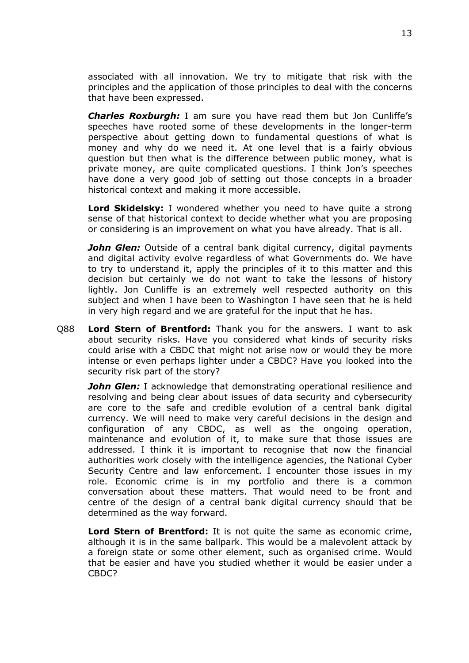associated with all innovation. We try to mitigate that risk with the principles and the application of those principles to deal with the concerns that have been expressed.

*Charles Roxburgh:* I am sure you have read them but Jon Cunliffe's speeches have rooted some of these developments in the longer-term perspective about getting down to fundamental questions of what is money and why do we need it. At one level that is a fairly obvious question but then what is the difference between public money, what is private money, are quite complicated questions. I think Jon's speeches have done a very good job of setting out those concepts in a broader historical context and making it more accessible.

**Lord Skidelsky:** I wondered whether you need to have quite a strong sense of that historical context to decide whether what you are proposing or considering is an improvement on what you have already. That is all.

*John Glen:* Outside of a central bank digital currency, digital payments and digital activity evolve regardless of what Governments do. We have to try to understand it, apply the principles of it to this matter and this decision but certainly we do not want to take the lessons of history lightly. Jon Cunliffe is an extremely well respected authority on this subject and when I have been to Washington I have seen that he is held in very high regard and we are grateful for the input that he has.

Q88 **Lord Stern of Brentford:** Thank you for the answers. I want to ask about security risks. Have you considered what kinds of security risks could arise with a CBDC that might not arise now or would they be more intense or even perhaps lighter under a CBDC? Have you looked into the security risk part of the story?

*John Glen:* I acknowledge that demonstrating operational resilience and resolving and being clear about issues of data security and cybersecurity are core to the safe and credible evolution of a central bank digital currency. We will need to make very careful decisions in the design and configuration of any CBDC, as well as the ongoing operation, maintenance and evolution of it, to make sure that those issues are addressed. I think it is important to recognise that now the financial authorities work closely with the intelligence agencies, the National Cyber Security Centre and law enforcement. I encounter those issues in my role. Economic crime is in my portfolio and there is a common conversation about these matters. That would need to be front and centre of the design of a central bank digital currency should that be determined as the way forward.

**Lord Stern of Brentford:** It is not quite the same as economic crime, although it is in the same ballpark. This would be a malevolent attack by a foreign state or some other element, such as organised crime. Would that be easier and have you studied whether it would be easier under a CBDC?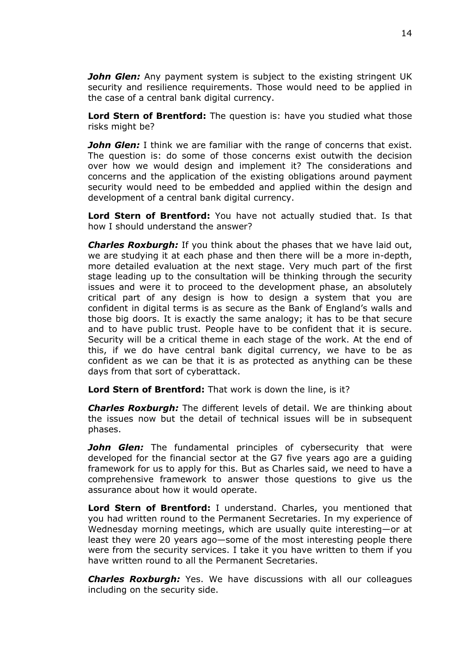*John Glen:* Any payment system is subject to the existing stringent UK security and resilience requirements. Those would need to be applied in the case of a central bank digital currency.

**Lord Stern of Brentford:** The question is: have you studied what those risks might be?

*John Glen:* I think we are familiar with the range of concerns that exist. The question is: do some of those concerns exist outwith the decision over how we would design and implement it? The considerations and concerns and the application of the existing obligations around payment security would need to be embedded and applied within the design and development of a central bank digital currency.

**Lord Stern of Brentford:** You have not actually studied that. Is that how I should understand the answer?

*Charles Roxburgh:* If you think about the phases that we have laid out, we are studying it at each phase and then there will be a more in-depth, more detailed evaluation at the next stage. Very much part of the first stage leading up to the consultation will be thinking through the security issues and were it to proceed to the development phase, an absolutely critical part of any design is how to design a system that you are confident in digital terms is as secure as the Bank of England's walls and those big doors. It is exactly the same analogy; it has to be that secure and to have public trust. People have to be confident that it is secure. Security will be a critical theme in each stage of the work. At the end of this, if we do have central bank digital currency, we have to be as confident as we can be that it is as protected as anything can be these days from that sort of cyberattack.

**Lord Stern of Brentford:** That work is down the line, is it?

*Charles Roxburgh:* The different levels of detail. We are thinking about the issues now but the detail of technical issues will be in subsequent phases.

*John Glen:* The fundamental principles of cybersecurity that were developed for the financial sector at the G7 five years ago are a guiding framework for us to apply for this. But as Charles said, we need to have a comprehensive framework to answer those questions to give us the assurance about how it would operate.

**Lord Stern of Brentford:** I understand. Charles, you mentioned that you had written round to the Permanent Secretaries. In my experience of Wednesday morning meetings, which are usually quite interesting—or at least they were 20 years ago—some of the most interesting people there were from the security services. I take it you have written to them if you have written round to all the Permanent Secretaries.

*Charles Roxburgh:* Yes. We have discussions with all our colleagues including on the security side.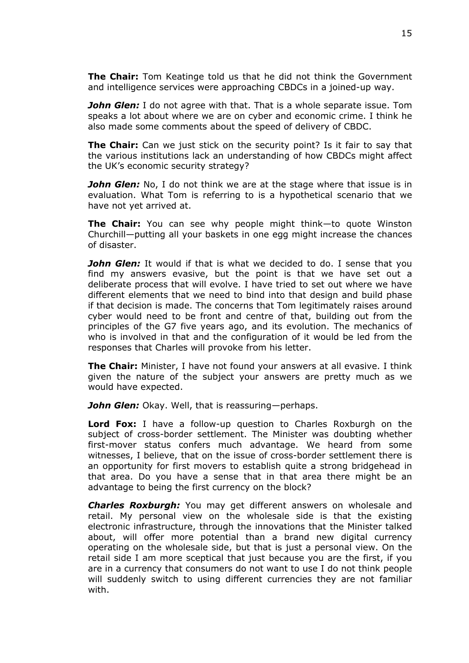**The Chair:** Tom Keatinge told us that he did not think the Government and intelligence services were approaching CBDCs in a joined-up way.

*John Glen:* I do not agree with that. That is a whole separate issue. Tom speaks a lot about where we are on cyber and economic crime. I think he also made some comments about the speed of delivery of CBDC.

**The Chair:** Can we just stick on the security point? Is it fair to say that the various institutions lack an understanding of how CBDCs might affect the UK's economic security strategy?

*John Glen:* No, I do not think we are at the stage where that issue is in evaluation. What Tom is referring to is a hypothetical scenario that we have not yet arrived at.

**The Chair:** You can see why people might think—to quote Winston Churchill—putting all your baskets in one egg might increase the chances of disaster.

*John Glen:* It would if that is what we decided to do. I sense that you find my answers evasive, but the point is that we have set out a deliberate process that will evolve. I have tried to set out where we have different elements that we need to bind into that design and build phase if that decision is made. The concerns that Tom legitimately raises around cyber would need to be front and centre of that, building out from the principles of the G7 five years ago, and its evolution. The mechanics of who is involved in that and the configuration of it would be led from the responses that Charles will provoke from his letter.

**The Chair:** Minister, I have not found your answers at all evasive. I think given the nature of the subject your answers are pretty much as we would have expected.

*John Glen:* Okay. Well, that is reassuring—perhaps.

**Lord Fox:** I have a follow-up question to Charles Roxburgh on the subject of cross-border settlement. The Minister was doubting whether first-mover status confers much advantage. We heard from some witnesses, I believe, that on the issue of cross-border settlement there is an opportunity for first movers to establish quite a strong bridgehead in that area. Do you have a sense that in that area there might be an advantage to being the first currency on the block?

*Charles Roxburgh:* You may get different answers on wholesale and retail. My personal view on the wholesale side is that the existing electronic infrastructure, through the innovations that the Minister talked about, will offer more potential than a brand new digital currency operating on the wholesale side, but that is just a personal view. On the retail side I am more sceptical that just because you are the first, if you are in a currency that consumers do not want to use I do not think people will suddenly switch to using different currencies they are not familiar with.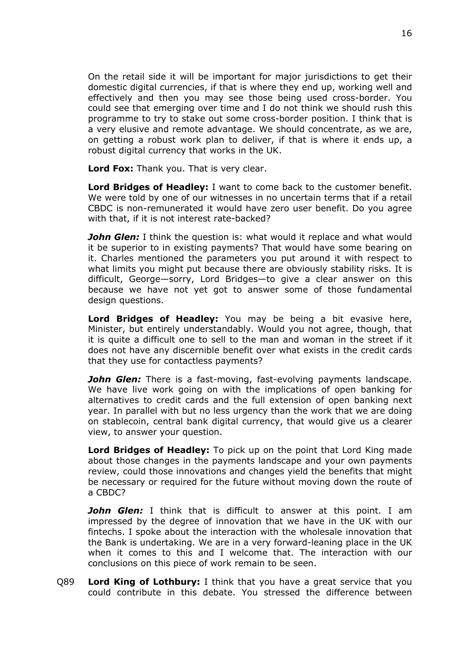On the retail side it will be important for major jurisdictions to get their domestic digital currencies, if that is where they end up, working well and effectively and then you may see those being used cross-border. You could see that emerging over time and I do not think we should rush this programme to try to stake out some cross-border position. I think that is a very elusive and remote advantage. We should concentrate, as we are, on getting a robust work plan to deliver, if that is where it ends up, a robust digital currency that works in the UK.

**Lord Fox:** Thank you. That is very clear.

**Lord Bridges of Headley:** I want to come back to the customer benefit. We were told by one of our witnesses in no uncertain terms that if a retail CBDC is non-remunerated it would have zero user benefit. Do you agree with that, if it is not interest rate-backed?

*John Glen:* I think the question is: what would it replace and what would it be superior to in existing payments? That would have some bearing on it. Charles mentioned the parameters you put around it with respect to what limits you might put because there are obviously stability risks. It is difficult, George—sorry, Lord Bridges—to give a clear answer on this because we have not yet got to answer some of those fundamental design questions.

**Lord Bridges of Headley:** You may be being a bit evasive here, Minister, but entirely understandably. Would you not agree, though, that it is quite a difficult one to sell to the man and woman in the street if it does not have any discernible benefit over what exists in the credit cards that they use for contactless payments?

*John Glen:* There is a fast-moving, fast-evolving payments landscape. We have live work going on with the implications of open banking for alternatives to credit cards and the full extension of open banking next year. In parallel with but no less urgency than the work that we are doing on stablecoin, central bank digital currency, that would give us a clearer view, to answer your question.

**Lord Bridges of Headley:** To pick up on the point that Lord King made about those changes in the payments landscape and your own payments review, could those innovations and changes yield the benefits that might be necessary or required for the future without moving down the route of a CBDC?

*John Glen:* I think that is difficult to answer at this point. I am impressed by the degree of innovation that we have in the UK with our fintechs. I spoke about the interaction with the wholesale innovation that the Bank is undertaking. We are in a very forward-leaning place in the UK when it comes to this and I welcome that. The interaction with our conclusions on this piece of work remain to be seen.

Q89 **Lord King of Lothbury:** I think that you have a great service that you could contribute in this debate. You stressed the difference between